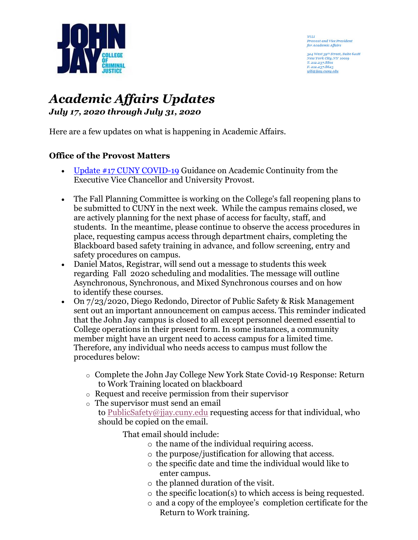

viti **Provost and Vice President**<br>for Academic Affairs

524 West 59th Street, Suite 621H<br>New York City, NY 10019 T. 212.237.8801<br>F. 212.237.8623 vili@jiay.cumy.edu

# *Academic Affairs Updates July 17, 2020 through July 31, 2020*

Here are a few updates on what is happening in Academic Affairs.

## **Office of the Provost Matters**

- [Update #17 CUNY COVID-19](https://www.cuny.edu/coronavirus/guidance-on-academic-continuity-to-campuses/) Guidance on Academic Continuity from the Executive Vice Chancellor and University Provost.
- The Fall Planning Committee is working on the College's fall reopening plans to be submitted to CUNY in the next week. While the campus remains closed, we are actively planning for the next phase of access for faculty, staff, and students. In the meantime, please continue to observe the access procedures in place, requesting campus access through department chairs, completing the Blackboard based safety training in advance, and follow screening, entry and safety procedures on campus.
- Daniel Matos, Registrar, will send out a message to students this week regarding Fall 2020 scheduling and modalities. The message will outline Asynchronous, Synchronous, and Mixed Synchronous courses and on how to identify these courses.
- On  $7/23/2020$ , Diego Redondo, Director of Public Safety & Risk Management sent out an important announcement on campus access. This reminder indicated that the John Jay campus is closed to all except personnel deemed essential to College operations in their present form. In some instances, a community member might have an urgent need to access campus for a limited time. Therefore, any individual who needs access to campus must follow the procedures below:
	- o Complete the John Jay College New York State Covid-19 Response: Return to Work Training located on blackboard
	- o Request and receive permission from their supervisor
	- o The supervisor must send an email to [PublicSafety@jjay.cuny.edu](mailto:PublicSafety@jjay.cuny.edu) requesting access for that individual, who should be copied on the email.

That email should include:

- o the name of the individual requiring access.
- o the purpose/justification for allowing that access.
- o the specific date and time the individual would like to enter campus.
- o the planned duration of the visit.
- o the specific location(s) to which access is being requested.
- o and a copy of the employee's completion certificate for the Return to Work training.